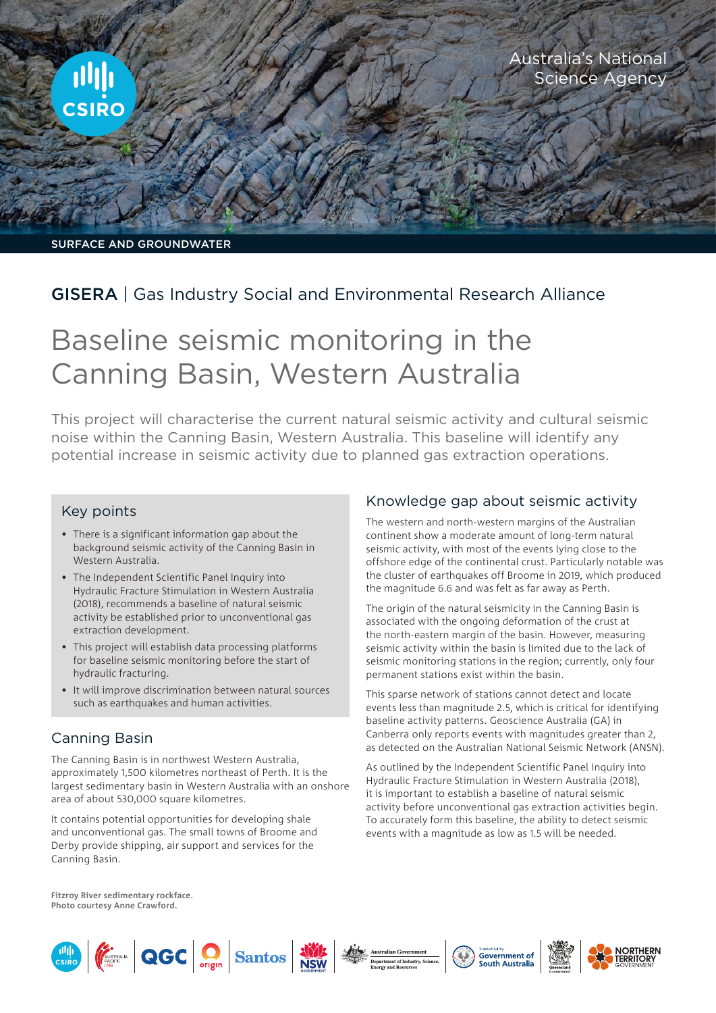

SURFACE AND GROUNDWATER

# GISERA | Gas Industry Social and Environmental Research Alliance

# Baseline seismic monitoring in the Canning Basin, Western Australia

This project will characterise the current natural seismic activity and cultural seismic noise within the Canning Basin, Western Australia. This baseline will identify any potential increase in seismic activity due to planned gas extraction operations.

#### Key points

- There is a significant information gap about the background seismic activity of the Canning Basin in Western Australia.
- The [Independent Scientific Panel Inquiry into](https://frackinginquiry.wa.gov.au/)  [Hydraulic Fracture Stimulation in Western Australia](https://frackinginquiry.wa.gov.au/)  [\(2018\),](https://frackinginquiry.wa.gov.au/) recommends a baseline of natural seismic activity be established prior to unconventional gas extraction development.
- This project will establish data processing platforms for baseline seismic monitoring before the start of hydraulic fracturing.
- It will improve discrimination between natural sources such as earthquakes and human activities.

## Canning Basin

The Canning Basin is in northwest Western Australia, approximately 1,500 kilometres northeast of Perth. It is the largest sedimentary basin in Western Australia with an onshore area of about 530,000 square kilometres.

It contains potential opportunities for developing shale and unconventional gas. The small towns of Broome and Derby provide shipping, air support and services for the Canning Basin.

#### Knowledge gap about seismic activity

The western and north-western margins of the Australian continent show a moderate amount of long-term natural seismic activity, with most of the events lying close to the offshore edge of the continental crust. Particularly notable was the cluster of earthquakes off Broome in 2019, which produced the magnitude 6.6 and was felt as far away as Perth.

The origin of the natural seismicity in the Canning Basin is associated with the ongoing deformation of the crust at the north-eastern margin of the basin. However, measuring seismic activity within the basin is limited due to the lack of seismic monitoring stations in the region; currently, only four permanent stations exist within the basin.

This sparse network of stations cannot detect and locate events less than magnitude 2.5, which is critical for identifying baseline activity patterns. Geoscience Australia (GA) in Canberra only reports events with magnitudes greater than 2, as detected on the [Australian National Seismic Network](https://www.ga.gov.au/about/facilities/geophysical-network) (ANSN).

As outlined by the [Independent Scientific Panel Inquiry into](https://frackinginquiry.wa.gov.au/)  [Hydraulic Fracture Stimulation in Western Australia \(2018\),](https://frackinginquiry.wa.gov.au/) it is important to establish a baseline of natural seismic activity before unconventional gas extraction activities begin. To accurately form this baseline, the ability to detect seismic events with a magnitude as low as 1.5 will be needed.

**Fitzroy River sedimentary rockface. Photo courtesy Anne Crawford.**